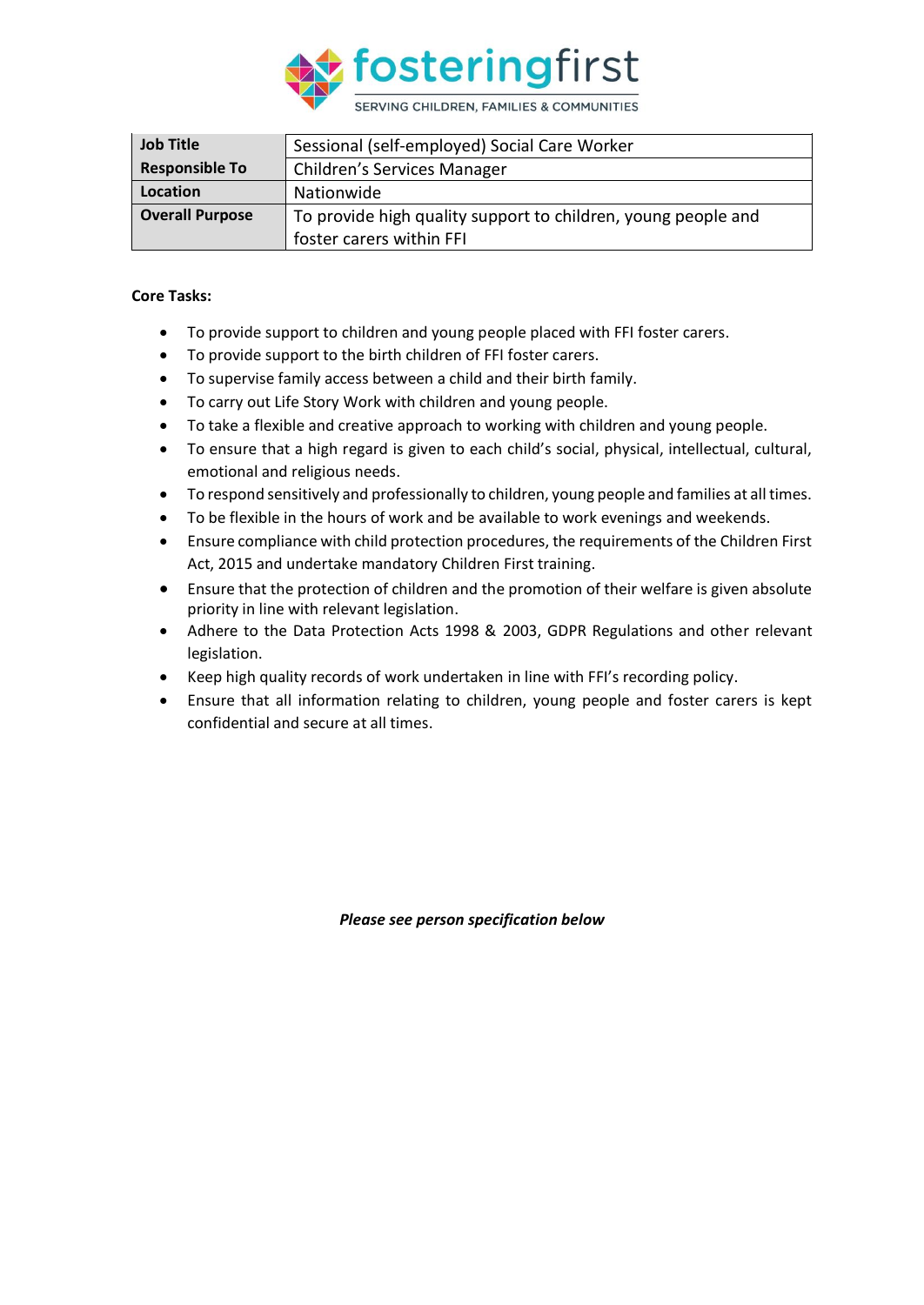

| <b>Job Title</b>       | Sessional (self-employed) Social Care Worker                  |  |  |
|------------------------|---------------------------------------------------------------|--|--|
| <b>Responsible To</b>  | Children's Services Manager                                   |  |  |
| Location               | Nationwide                                                    |  |  |
| <b>Overall Purpose</b> | To provide high quality support to children, young people and |  |  |
|                        | foster carers within FFI                                      |  |  |

## **Core Tasks:**

- To provide support to children and young people placed with FFI foster carers.
- To provide support to the birth children of FFI foster carers.
- To supervise family access between a child and their birth family.
- To carry out Life Story Work with children and young people.
- To take a flexible and creative approach to working with children and young people.
- To ensure that a high regard is given to each child's social, physical, intellectual, cultural, emotional and religious needs.
- To respond sensitively and professionally to children, young people and families at all times.
- To be flexible in the hours of work and be available to work evenings and weekends.
- Ensure compliance with child protection procedures, the requirements of the Children First Act, 2015 and undertake mandatory Children First training.
- Ensure that the protection of children and the promotion of their welfare is given absolute priority in line with relevant legislation.
- Adhere to the Data Protection Acts 1998 & 2003, GDPR Regulations and other relevant legislation.
- Keep high quality records of work undertaken in line with FFI's recording policy.
- Ensure that all information relating to children, young people and foster carers is kept confidential and secure at all times.

*Please see person specification below*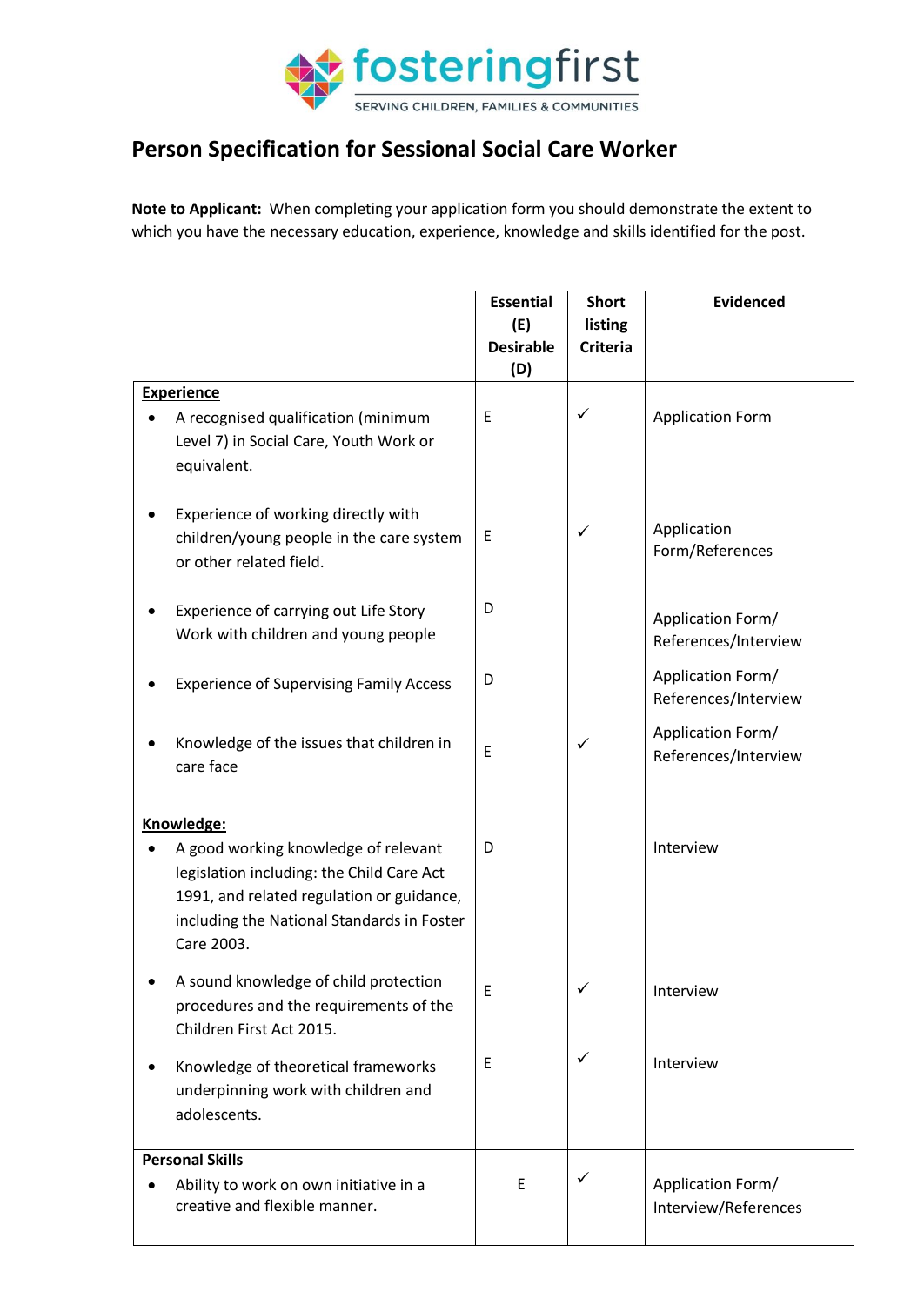

## **Person Specification for Sessional Social Care Worker**

**Note to Applicant:** When completing your application form you should demonstrate the extent to which you have the necessary education, experience, knowledge and skills identified for the post.

|                   |                                                                                                                                                                                            | <b>Essential</b><br>(E) | <b>Short</b><br>listing | <b>Evidenced</b>                          |
|-------------------|--------------------------------------------------------------------------------------------------------------------------------------------------------------------------------------------|-------------------------|-------------------------|-------------------------------------------|
|                   |                                                                                                                                                                                            | <b>Desirable</b>        | <b>Criteria</b>         |                                           |
|                   |                                                                                                                                                                                            | (D)                     |                         |                                           |
| <b>Experience</b> |                                                                                                                                                                                            |                         |                         |                                           |
|                   | A recognised qualification (minimum<br>Level 7) in Social Care, Youth Work or<br>equivalent.                                                                                               | E                       | ✓                       | <b>Application Form</b>                   |
|                   | Experience of working directly with<br>children/young people in the care system<br>or other related field.                                                                                 | Ε                       | ✓                       | Application<br>Form/References            |
|                   | Experience of carrying out Life Story<br>Work with children and young people                                                                                                               | D                       |                         | Application Form/<br>References/Interview |
|                   | <b>Experience of Supervising Family Access</b>                                                                                                                                             | D                       |                         | Application Form/<br>References/Interview |
|                   | Knowledge of the issues that children in<br>care face                                                                                                                                      | E                       | ✓                       | Application Form/<br>References/Interview |
| Knowledge:        |                                                                                                                                                                                            |                         |                         |                                           |
|                   | A good working knowledge of relevant<br>legislation including: the Child Care Act<br>1991, and related regulation or guidance,<br>including the National Standards in Foster<br>Care 2003. | D                       |                         | Interview                                 |
|                   | A sound knowledge of child protection<br>procedures and the requirements of the<br>Children First Act 2015.                                                                                | E                       | ✓                       | Interview                                 |
|                   | Knowledge of theoretical frameworks<br>underpinning work with children and<br>adolescents.                                                                                                 | $\mathsf E$             | $\checkmark$            | Interview                                 |
|                   | <b>Personal Skills</b><br>Ability to work on own initiative in a<br>creative and flexible manner.                                                                                          | E                       | ✓                       | Application Form/<br>Interview/References |